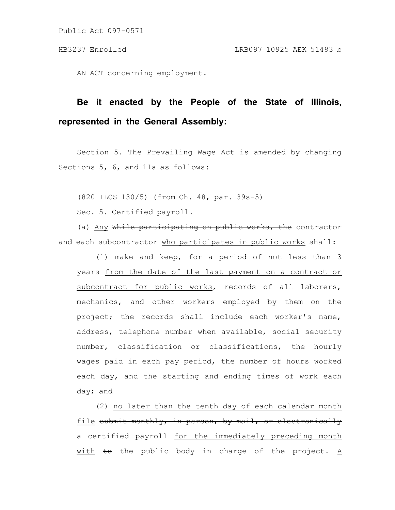Public Act 097-0571

AN ACT concerning employment.

## **Be it enacted by the People of the State of Illinois, represented in the General Assembly:**

Section 5. The Prevailing Wage Act is amended by changing Sections 5, 6, and 11a as follows:

(820 ILCS 130/5) (from Ch. 48, par. 39s-5)

Sec. 5. Certified payroll.

(a) Any While participating on public works, the contractor and each subcontractor who participates in public works shall:

(1) make and keep, for a period of not less than 3 years from the date of the last payment on a contract or subcontract for public works, records of all laborers, mechanics, and other workers employed by them on the project; the records shall include each worker's name, address, telephone number when available, social security number, classification or classifications, the hourly wages paid in each pay period, the number of hours worked each day, and the starting and ending times of work each day; and

(2) no later than the tenth day of each calendar month file submit monthly, in person, by mail, or electronically a certified payroll for the immediately preceding month with to the public body in charge of the project. A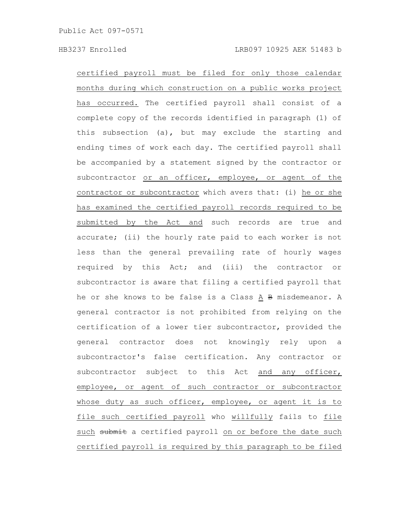certified payroll must be filed for only those calendar months during which construction on a public works project has occurred. The certified payroll shall consist of a complete copy of the records identified in paragraph (1) of this subsection (a), but may exclude the starting and ending times of work each day. The certified payroll shall be accompanied by a statement signed by the contractor or subcontractor or an officer, employee, or agent of the contractor or subcontractor which avers that: (i) he or she has examined the certified payroll records required to be submitted by the Act and such records are true and accurate; (ii) the hourly rate paid to each worker is not less than the general prevailing rate of hourly wages required by this Act; and (iii) the contractor or subcontractor is aware that filing a certified payroll that he or she knows to be false is a Class A B misdemeanor. A general contractor is not prohibited from relying on the certification of a lower tier subcontractor, provided the general contractor does not knowingly rely upon a subcontractor's false certification. Any contractor or subcontractor subject to this Act and any officer, employee, or agent of such contractor or subcontractor whose duty as such officer, employee, or agent it is to file such certified payroll who willfully fails to file such submit a certified payroll on or before the date such certified payroll is required by this paragraph to be filed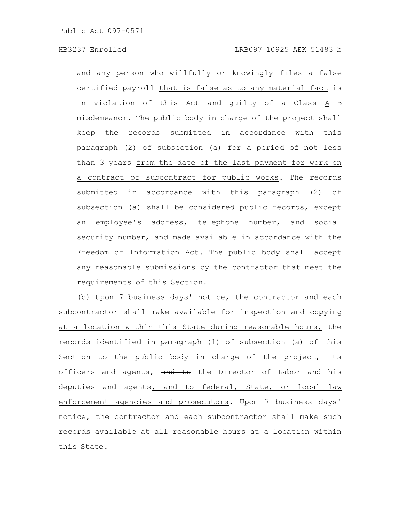and any person who willfully or knowingly files a false certified payroll that is false as to any material fact is in violation of this Act and guilty of a Class A B misdemeanor. The public body in charge of the project shall keep the records submitted in accordance with this paragraph (2) of subsection (a) for a period of not less than 3 years from the date of the last payment for work on a contract or subcontract for public works. The records submitted in accordance with this paragraph (2) of subsection (a) shall be considered public records, except an employee's address, telephone number, and social security number, and made available in accordance with the Freedom of Information Act. The public body shall accept any reasonable submissions by the contractor that meet the requirements of this Section.

(b) Upon 7 business days' notice, the contractor and each subcontractor shall make available for inspection and copying at a location within this State during reasonable hours, the records identified in paragraph (1) of subsection (a) of this Section to the public body in charge of the project, its officers and agents, and to the Director of Labor and his deputies and agents, and to federal, State, or local law enforcement agencies and prosecutors. Upon 7 business days' notice, the contractor and each subcontractor shall make records available at all reasonable hours at a location within is State.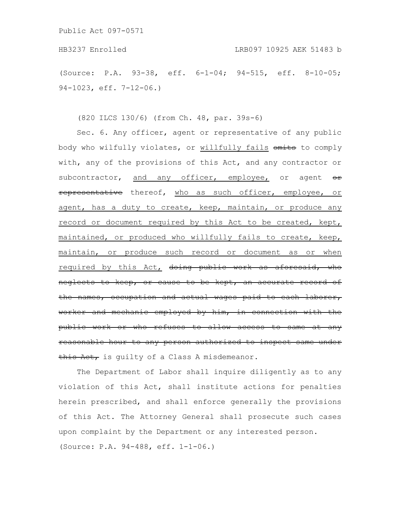HB3237 Enrolled LRB097 10925 AEK 51483 b

(Source: P.A. 93-38, eff. 6-1-04; 94-515, eff. 8-10-05; 94-1023, eff. 7-12-06.)

(820 ILCS 130/6) (from Ch. 48, par. 39s-6)

Sec. 6. Any officer, agent or representative of any public body who wilfully violates, or willfully fails onits to comply with, any of the provisions of this Act, and any contractor or subcontractor, and any officer, employee, or agent  $\theta$ representative thereof, who as such officer, employee, or agent, has a duty to create, keep, maintain, or produce any record or document required by this Act to be created, kept, maintained, or produced who willfully fails to create, keep, maintain, or produce such record or document as or when required by this Act, doing public work as aforesaid, who neglects to keep, or cause to be kept, an accurate the names, occupation and actual wages paid to worker and mechanic employed by him, in connection with the public work or who refuses to allow access to reasonable hour to any person authorized to inspect same under this Act, is guilty of a Class A misdemeanor.

The Department of Labor shall inquire diligently as to any violation of this Act, shall institute actions for penalties herein prescribed, and shall enforce generally the provisions of this Act. The Attorney General shall prosecute such cases upon complaint by the Department or any interested person. (Source: P.A. 94-488, eff. 1-1-06.)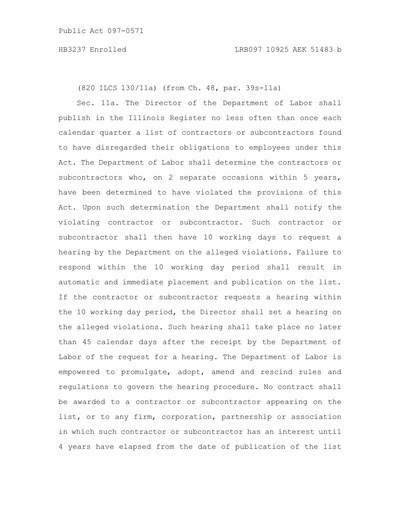(820 ILCS 130/11a) (from Ch. 48, par. 39s-11a)

Sec. 11a. The Director of the Department of Labor shall publish in the Illinois Register no less often than once each calendar quarter a list of contractors or subcontractors found to have disregarded their obligations to employees under this Act. The Department of Labor shall determine the contractors or subcontractors who, on 2 separate occasions within 5 years, have been determined to have violated the provisions of this Act. Upon such determination the Department shall notify the violating contractor or subcontractor. Such contractor or subcontractor shall then have 10 working days to request a hearing by the Department on the alleged violations. Failure to respond within the 10 working day period shall result in automatic and immediate placement and publication on the list. If the contractor or subcontractor requests a hearing within the 10 working day period, the Director shall set a hearing on the alleged violations. Such hearing shall take place no later than 45 calendar days after the receipt by the Department of Labor of the request for a hearing. The Department of Labor is empowered to promulgate, adopt, amend and rescind rules and regulations to govern the hearing procedure. No contract shall be awarded to a contractor or subcontractor appearing on the list, or to any firm, corporation, partnership or association in which such contractor or subcontractor has an interest until 4 years have elapsed from the date of publication of the list